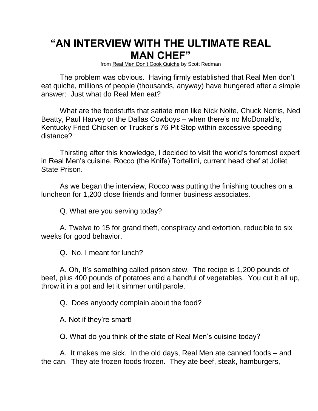## **"AN INTERVIEW WITH THE ULTIMATE REAL MAN CHEF"**

from Real Men Don't Cook Quiche by Scott Redman

The problem was obvious. Having firmly established that Real Men don't eat quiche, millions of people (thousands, anyway) have hungered after a simple answer: Just what do Real Men eat?

What are the foodstuffs that satiate men like Nick Nolte, Chuck Norris, Ned Beatty, Paul Harvey or the Dallas Cowboys – when there's no McDonald's, Kentucky Fried Chicken or Trucker's 76 Pit Stop within excessive speeding distance?

Thirsting after this knowledge, I decided to visit the world's foremost expert in Real Men's cuisine, Rocco (the Knife) Tortellini, current head chef at Joliet State Prison.

As we began the interview, Rocco was putting the finishing touches on a luncheon for 1,200 close friends and former business associates.

Q. What are you serving today?

A. Twelve to 15 for grand theft, conspiracy and extortion, reducible to six weeks for good behavior.

Q. No. I meant for lunch?

A. Oh, It's something called prison stew. The recipe is 1,200 pounds of beef, plus 400 pounds of potatoes and a handful of vegetables. You cut it all up, throw it in a pot and let it simmer until parole.

Q. Does anybody complain about the food?

A. Not if they're smart!

Q. What do you think of the state of Real Men's cuisine today?

A. It makes me sick. In the old days, Real Men ate canned foods – and the can. They ate frozen foods frozen. They ate beef, steak, hamburgers,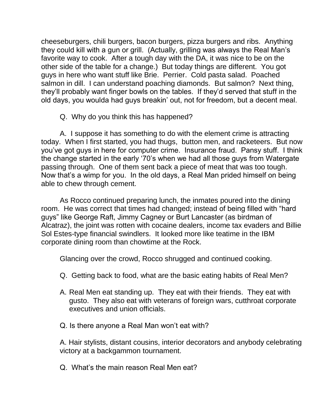cheeseburgers, chili burgers, bacon burgers, pizza burgers and ribs. Anything they could kill with a gun or grill. (Actually, grilling was always the Real Man's favorite way to cook. After a tough day with the DA, it was nice to be on the other side of the table for a change.) But today things are different. You got guys in here who want stuff like Brie. Perrier. Cold pasta salad. Poached salmon in dill. I can understand poaching diamonds. But salmon? Next thing, they'll probably want finger bowls on the tables. If they'd served that stuff in the old days, you woulda had guys breakin' out, not for freedom, but a decent meal.

Q. Why do you think this has happened?

A. I suppose it has something to do with the element crime is attracting today. When I first started, you had thugs, button men, and racketeers. But now you've got guys in here for computer crime. Insurance fraud. Pansy stuff. I think the change started in the early '70's when we had all those guys from Watergate passing through. One of them sent back a piece of meat that was too tough. Now that's a wimp for you. In the old days, a Real Man prided himself on being able to chew through cement.

As Rocco continued preparing lunch, the inmates poured into the dining room. He was correct that times had changed; instead of being filled with "hard guys" like George Raft, Jimmy Cagney or Burt Lancaster (as birdman of Alcatraz), the joint was rotten with cocaine dealers, income tax evaders and Billie Sol Estes-type financial swindlers. It looked more like teatime in the IBM corporate dining room than chowtime at the Rock.

Glancing over the crowd, Rocco shrugged and continued cooking.

- Q. Getting back to food, what are the basic eating habits of Real Men?
- A. Real Men eat standing up. They eat with their friends. They eat with gusto. They also eat with veterans of foreign wars, cutthroat corporate executives and union officials.
- Q. Is there anyone a Real Man won't eat with?

A. Hair stylists, distant cousins, interior decorators and anybody celebrating victory at a backgammon tournament.

Q. What's the main reason Real Men eat?